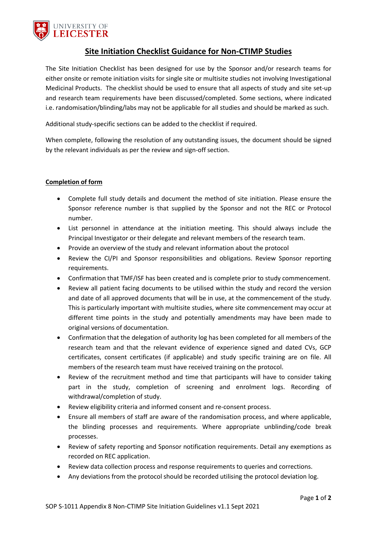

## **Site Initiation Checklist Guidance for Non-CTIMP Studies**

The Site Initiation Checklist has been designed for use by the Sponsor and/or research teams for either onsite or remote initiation visits for single site or multisite studies not involving Investigational Medicinal Products. The checklist should be used to ensure that all aspects of study and site set-up and research team requirements have been discussed/completed. Some sections, where indicated i.e. randomisation/blinding/labs may not be applicable for all studies and should be marked as such.

Additional study-specific sections can be added to the checklist if required.

When complete, following the resolution of any outstanding issues, the document should be signed by the relevant individuals as per the review and sign-off section.

## **Completion of form**

- Complete full study details and document the method of site initiation. Please ensure the Sponsor reference number is that supplied by the Sponsor and not the REC or Protocol number.
- List personnel in attendance at the initiation meeting. This should always include the Principal Investigator or their delegate and relevant members of the research team.
- Provide an overview of the study and relevant information about the protocol
- Review the CI/PI and Sponsor responsibilities and obligations. Review Sponsor reporting requirements.
- Confirmation that TMF/ISF has been created and is complete prior to study commencement.
- Review all patient facing documents to be utilised within the study and record the version and date of all approved documents that will be in use, at the commencement of the study. This is particularly important with multisite studies, where site commencement may occur at different time points in the study and potentially amendments may have been made to original versions of documentation.
- Confirmation that the delegation of authority log has been completed for all members of the research team and that the relevant evidence of experience signed and dated CVs, GCP certificates, consent certificates (if applicable) and study specific training are on file. All members of the research team must have received training on the protocol.
- Review of the recruitment method and time that participants will have to consider taking part in the study, completion of screening and enrolment logs. Recording of withdrawal/completion of study.
- Review eligibility criteria and informed consent and re-consent process.
- Ensure all members of staff are aware of the randomisation process, and where applicable, the blinding processes and requirements. Where appropriate unblinding/code break processes.
- Review of safety reporting and Sponsor notification requirements. Detail any exemptions as recorded on REC application.
- Review data collection process and response requirements to queries and corrections.
- Any deviations from the protocol should be recorded utilising the protocol deviation log.